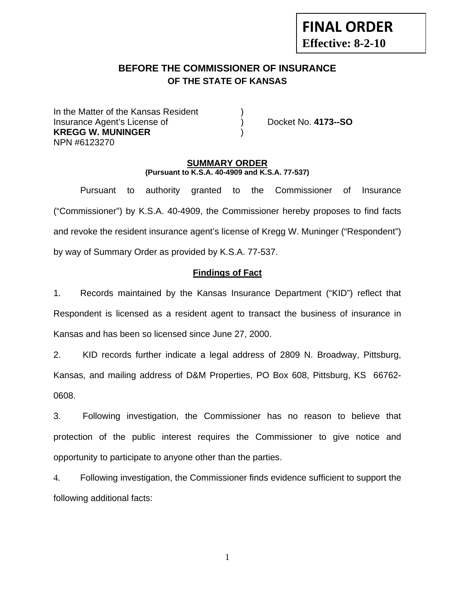# **BEFORE THE COMMISSIONER OF INSURANCE**

# **OF THE STATE OF KANSAS**

In the Matter of the Kansas Resident Insurance Agent's License of ) Docket No. **4173--SO KREGG W. MUNINGER** ) NPN #6123270

**FINAL ORDER**

**Effective: 8-2-10** 

#### **SUMMARY ORDER (Pursuant to K.S.A. 40-4909 and K.S.A. 77-537)**

 Pursuant to authority granted to the Commissioner of Insurance ("Commissioner") by K.S.A. 40-4909, the Commissioner hereby proposes to find facts and revoke the resident insurance agent's license of Kregg W. Muninger ("Respondent") by way of Summary Order as provided by K.S.A. 77-537.

# **Findings of Fact**

1. Records maintained by the Kansas Insurance Department ("KID") reflect that Respondent is licensed as a resident agent to transact the business of insurance in Kansas and has been so licensed since June 27, 2000.

2. KID records further indicate a legal address of 2809 N. Broadway, Pittsburg, Kansas, and mailing address of D&M Properties, PO Box 608, Pittsburg, KS 66762- 0608.

3. Following investigation, the Commissioner has no reason to believe that protection of the public interest requires the Commissioner to give notice and opportunity to participate to anyone other than the parties.

4. Following investigation, the Commissioner finds evidence sufficient to support the following additional facts:

1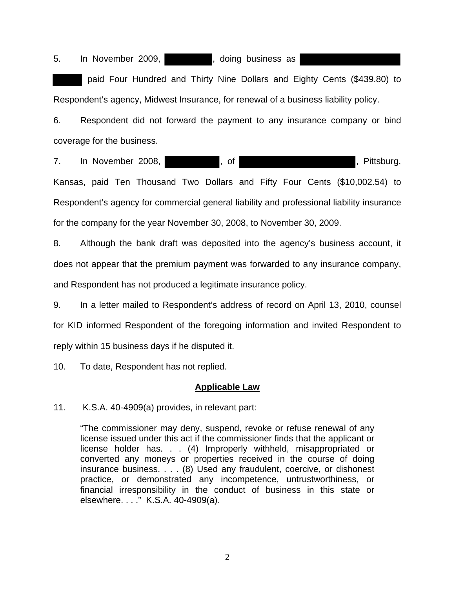5. In November 2009, state of the set of the state of the November 2009,

 paid Four Hundred and Thirty Nine Dollars and Eighty Cents (\$439.80) to Respondent's agency, Midwest Insurance, for renewal of a business liability policy.

6. Respondent did not forward the payment to any insurance company or bind coverage for the business.

7. In November 2008, The state of the state of the state of the state of the state of the state of the state of the state of the state of the state of the state of the state of the state of the state of the state of the st

Kansas, paid Ten Thousand Two Dollars and Fifty Four Cents (\$10,002.54) to Respondent's agency for commercial general liability and professional liability insurance for the company for the year November 30, 2008, to November 30, 2009.

8. Although the bank draft was deposited into the agency's business account, it does not appear that the premium payment was forwarded to any insurance company, and Respondent has not produced a legitimate insurance policy.

9. In a letter mailed to Respondent's address of record on April 13, 2010, counsel for KID informed Respondent of the foregoing information and invited Respondent to reply within 15 business days if he disputed it.

10. To date, Respondent has not replied.

### **Applicable Law**

11. K.S.A. 40-4909(a) provides, in relevant part:

"The commissioner may deny, suspend, revoke or refuse renewal of any license issued under this act if the commissioner finds that the applicant or license holder has. . . (4) Improperly withheld, misappropriated or converted any moneys or properties received in the course of doing insurance business. . . . (8) Used any fraudulent, coercive, or dishonest practice, or demonstrated any incompetence, untrustworthiness, or financial irresponsibility in the conduct of business in this state or elsewhere. . . ." K.S.A. 40-4909(a).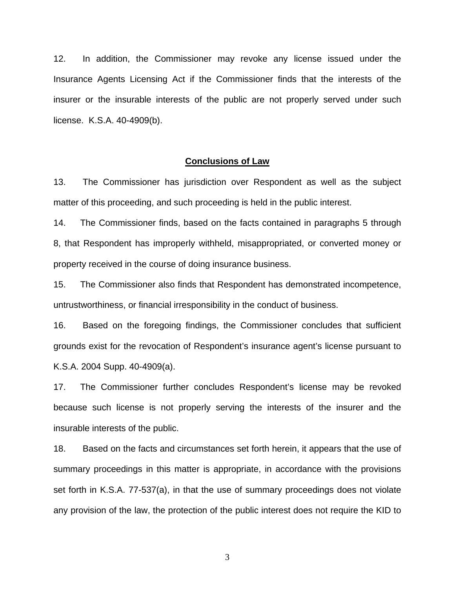12. In addition, the Commissioner may revoke any license issued under the Insurance Agents Licensing Act if the Commissioner finds that the interests of the insurer or the insurable interests of the public are not properly served under such license. K.S.A. 40-4909(b).

#### **Conclusions of Law**

13. The Commissioner has jurisdiction over Respondent as well as the subject matter of this proceeding, and such proceeding is held in the public interest.

14. The Commissioner finds, based on the facts contained in paragraphs 5 through 8, that Respondent has improperly withheld, misappropriated, or converted money or property received in the course of doing insurance business.

15. The Commissioner also finds that Respondent has demonstrated incompetence, untrustworthiness, or financial irresponsibility in the conduct of business.

16. Based on the foregoing findings, the Commissioner concludes that sufficient grounds exist for the revocation of Respondent's insurance agent's license pursuant to K.S.A. 2004 Supp. 40-4909(a).

17. The Commissioner further concludes Respondent's license may be revoked because such license is not properly serving the interests of the insurer and the insurable interests of the public.

18. Based on the facts and circumstances set forth herein, it appears that the use of summary proceedings in this matter is appropriate, in accordance with the provisions set forth in K.S.A. 77-537(a), in that the use of summary proceedings does not violate any provision of the law, the protection of the public interest does not require the KID to

3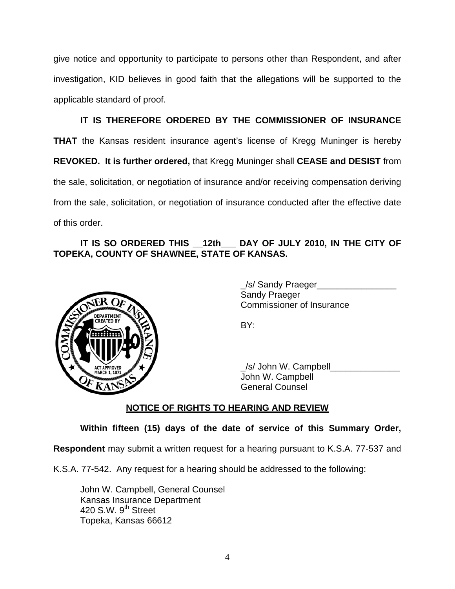give notice and opportunity to participate to persons other than Respondent, and after investigation, KID believes in good faith that the allegations will be supported to the applicable standard of proof.

 **IT IS THEREFORE ORDERED BY THE COMMISSIONER OF INSURANCE THAT** the Kansas resident insurance agent's license of Kregg Muninger is hereby **REVOKED. It is further ordered,** that Kregg Muninger shall **CEASE and DESIST** from the sale, solicitation, or negotiation of insurance and/or receiving compensation deriving from the sale, solicitation, or negotiation of insurance conducted after the effective date of this order.

# **IT IS SO ORDERED THIS \_\_12th\_\_\_ DAY OF JULY 2010, IN THE CITY OF TOPEKA, COUNTY OF SHAWNEE, STATE OF KANSAS.**



 \_/s/ Sandy Praeger\_\_\_\_\_\_\_\_\_\_\_\_\_\_\_\_ Sandy Praeger Commissioner of Insurance

 $\angle$ s/ John W. Campbell John W. Campbell General Counsel

# **NOTICE OF RIGHTS TO HEARING AND REVIEW**

**Within fifteen (15) days of the date of service of this Summary Order,** 

**Respondent** may submit a written request for a hearing pursuant to K.S.A. 77-537 and

K.S.A. 77-542. Any request for a hearing should be addressed to the following:

John W. Campbell, General Counsel Kansas Insurance Department 420 S.W.  $9<sup>th</sup>$  Street Topeka, Kansas 66612